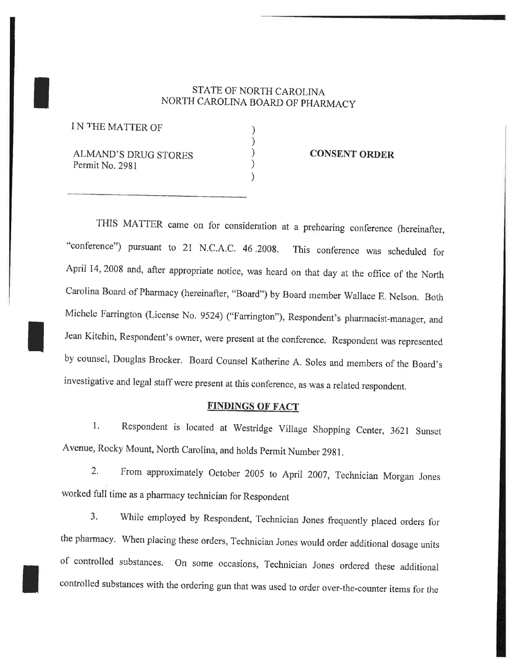## STATE OF NORTH CAROLINA NORTH CAROLINA BOARD OF PHARMACY

) ) ) ) )

I N THE MATTER OF

I

I

I

ALMAND'S DRUG STORES Permit No. 2981

CONSENT ORDER

THIS MATTER came on for consideration at a prehearing conference (hereinafter, "conference") pursuant to 21 N.C.A.C. 46 ,2008. This conference was scheduled for April 14, 2008 and, after appropriate notice, was heard on that day at the office of the North Carolina Board of Pharmacy (hereinafter, "Board") by Board member Wallace E. Nelson. Both Michele Farrington (License No, 9524) ("Farrington"), Respondent's pharmacist-manager, and Jean Kitchin, Respondent's owner, were present at the conference. Respondent was represented by counsel, Douglas Brocker. Board Counsel Katherine A. Soles and members of the Board's investigative and legal staff were present at this conference, as was a related respondent.

## **FINDINGS OF FACT**

1. Respondent is located at Westridge Village Shopping Center, 3621 Sunset Avenue, Rocky Mount, North carolina, and holds permit Number 29g1,

2. From approximately October 2005 to April 2007, Technician Morgan Jones worked full time as a pharmacy technician for Respondent

3. While employed by Respondent, Technician Jones frequently placed orders for the pharmacy. When placing these orders, Technician Jones would order additional dosage units of controlled substances, on some occasions, Technician Jones ordered these additional controlled substances with the ordering gun that was used to order over-the-counter items for the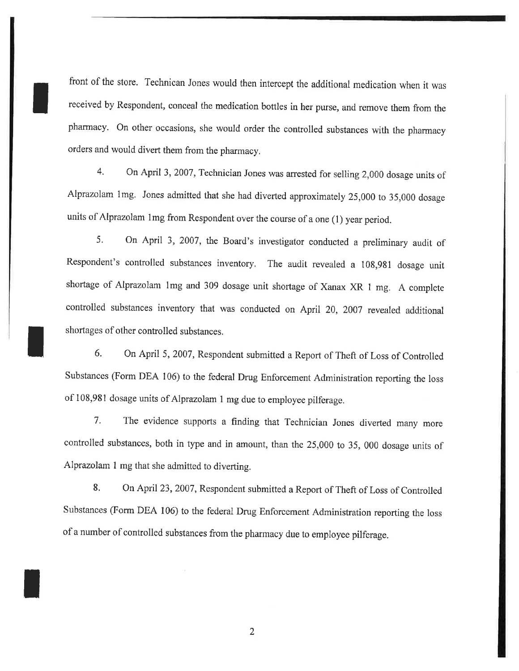front of the store. Technican Jones would then intercept the additional medication when it was received by Respondent, conceal the medication bottles in her purse, and remove them from the pharmacy. On other occasions, she would order the controlled substances with the pharmacy orders and would divert them from the pharmacy,

I

I

t

4. On April 3, 2007, Technician Jones was arrested for selling 2,000 dosage units of Alprazolam lmg. Jones admitted that she had diverted approximately 25,000 to 35,000 dosage units of Alprazolam lmg from Respondent over the course of a one (1) year period.

5. On April 3,2007, the Board's investigator conducted a preliminary audit of Respondent's controlled substances inventory, The audit revealed a 108,981 dosage unit shortage of Alprazolam lmg and 309 dosage unit shortage of Xanax XR 1 mg. A complete controlled substances inventory that was conducted on April 20, 2007 revealed additional shortages of other controlled substances,

6. On April 5,2007, Respondent submitted a Report of Theft of Loss of Controlled Substances (Form DEA 106) to the federal Drug Enforcement Administration reporting the loss of 108,981 dosage units of Alprazolam 1 mg due to employee pilferage.

7. The evidence supports a finding that Technician Jones diverted many more controlled substances, both in type and in amount, than the 25,000 to 35, 000 dosage units of Alprazolam I mg that she admitted to diverting.

8. On April 23,2007, Respondent submitted a Report of Theft of Loss of Controlled Substances (Form DEA 106) to the federal Drug Enforcement Administration reporting the loss of a nurnber of controlled substances from the pharmacy due to employee pilferage.

2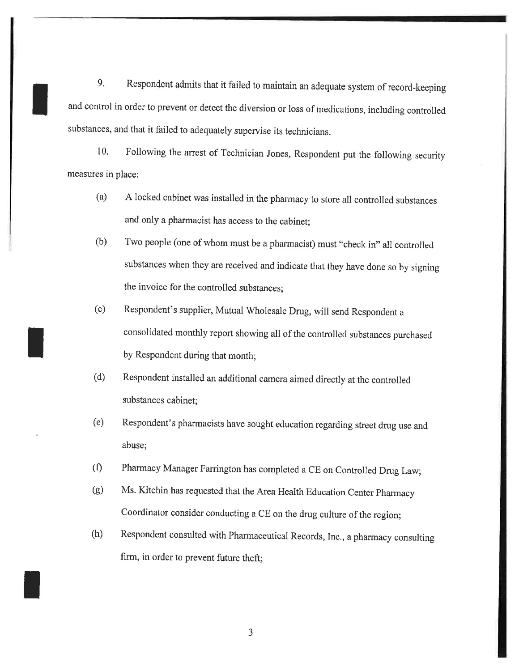9. Respondent admits that it failed to maintain an adequate system of record-keeping and control in order to prevent or detect the diversion or loss of medications, including controlled substances, and that it failed to adequately supervise its technicians.

I

I

I

10, Following the anest of Technician Jones, Respondent put the following security measures in place:

- (a) <sup>A</sup>locked cabinet was installed in the pharmacy to store all controlled substances and only a pharmacist has access to the cabinet;
- (b) Two people (one of whom must be a pharmacist) must "check in" all controlled substances when they are received and indicate that they have done so by signing the invoice for the controlled substances;
- (c) Respondent's supplier, Mutual Wholesale D\*g, will send Respondent <sup>a</sup> consolidated monthly report showing all of the controlled substances purchased by Respondent during that month;
- (d) Respondent installed an additional camera aimed directly at the controlled substances cabinet;
- (e) Respondent's pharmacists have sought education regarding street drug use and abuse;
- (Ð Pharmacy Manager Farrington has completed a CE on Controlled Drug Law;
- G) Ms. Kitchin has requested that the Area Health Education Center pharmacy Coordinator consider conducting a CE on the drug culture of the region;
- (h) Respondent consulted with Pharmaceutical Records, Inc., a pharmacy consulting firm, in order to prevent future theft;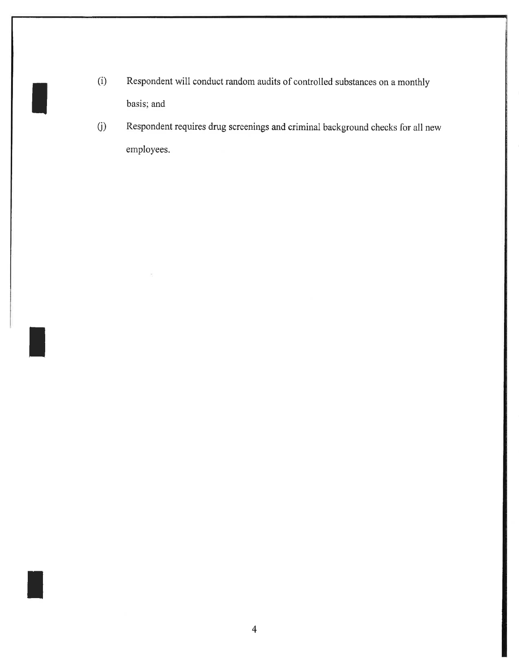(Ð Respondent will conduct random audits of controlled substances on a monthly basis; and

I

t

t

0) Respondent requires drug screenings and criminal background checks for all new employees.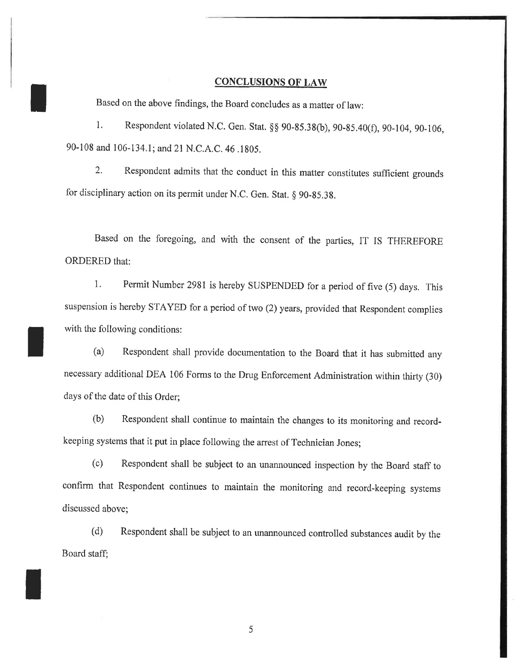## CONCLUSIONS OF LAW

Based on the above findings, the Board concludes as a matter of law:

t

t

I

1. Respondent violated N.C. Gen. Stat. §§ 90-85.38(b), 90-85.40(f), 90-104, 90-106, 90-108 and 106-134.1; and 2l N.C.A.C. 46 .1805,

2. Respondent admits that the conduct in this matter constitutes sufficient grounds for disciplinary action on its permit under N.C. Gen. Stat. § 90-85.38.

Based on the foregoing, and with the consent of the parties, IT IS THEREFORE ORDERED that:

1. Permit Number 2981 is hereby SUSPENDED for a period of five (5) days. This suspension is hereby STAYED for a period of two (2) years, provided that Respondent complies with the following conditions:

(a) Respondent shall provide documentation to the Board that it has submitted any necessary additional DEA 106 Forms to the Drug Enforcement Administration within thirty (30) days of the date of this Order;

(b) Respondent shall continue to maintain the changes to its monitoring and recordkeeping systems that it put in place following the arrest of Technician Jones;

(c) Respondent shall be subject to an unannounced inspection by the Board staff to confirm that Respondent continues to maintain the monitoring and record.-keeping systems discussed above;

(d) Respondent shall be subject to an unannounced controlled substances audit by the Board staff;

5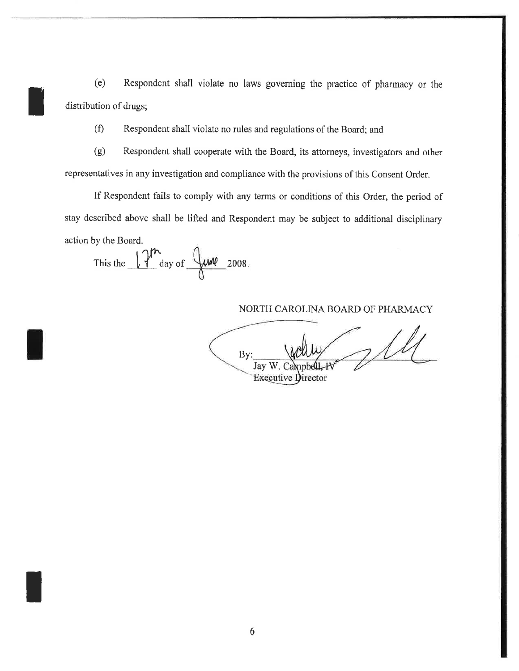(e) Respondent shall violate no laws goveming the practice of pharmacy or the distribution of drugs;

(Ð Respondent shall violate no rules and regulations of the Board; and

(g) Respondent shall cooperate with the Board, its attorneys, investigators and other representatives in any investigation and compliance with the provisions of this Consent Order.

If Respondent fails to comply with any terms or conditions of this Order, the period of stay described above shall be lifted and Respondent may be subject to additional disciplinary action by the Board.

This the  $12^{m}$  day of  $\frac{0}{\sqrt{m}}$  2008.

I

I

NORTH CAROLINA BOARD OF PHARMACY

 $7/4$ By: Jay W.C Executive Director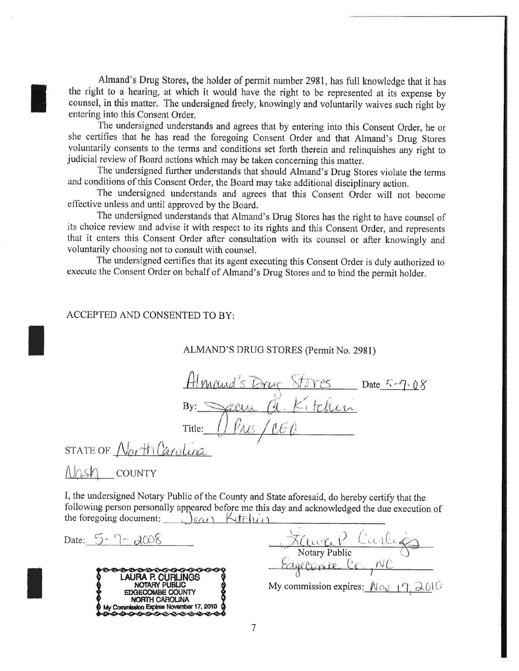Almand's Drug Stores, the holder of permit number 2981, has full knowledge that it has the right to a hearing, at which it would have the right to be represented at its expense by counsel, in this matter. The undersigned freely, knowingly and voluntarily waives such right by entering into this Consent Order.

The undersigned understands and agrees that by entering into this Consent Order, he or she certifies that he has read the foregoing Consent Order and that Almand's Drug Stores voluntarily consents to the terms and conditions set forth therein and relinquishes any right to judicial review of Board actions which may be taken concerning this matter.

The undersigned further understands that should Almand's Drug Stores violate the terms and conditions of this Consent Order, the Board may take additional disciplinary action.

The undersigned understands and agrees that this Consent Order will not become effective unless and until approved by the Board.

The undersigned understands that Almand's Drug Stores has the right to have counsel of its choice review and advise it with respect to its rights and this Consent Order, and represents that it enters this Consent Order after consultation with its counsel or after knowingly and voluntarily choosing not to consult with counsel.

The undersigned certifies that its agent executing this Consent Order is duly authorized to execute the Consent Order on behalf of Almand's Drug Stores and to bind the permit holder.

## ACCEPTED AND CONSENTED TO BY:

ALMAND'S DRUG STORES (Permit No. 2981)

 $878Y$   $25$  Date  $5 - 7 - 0.8$ de Kitchen Title:

STATE OF North Carolina

 $N$ *nsh* COUNTY

I, the undersigned Notary Public of the County and State aforesaid, do hereby certify that the following person personally appeared before me this day and acknowledged the due execution of the foregoing document: lean Kitchin

Date:  $5 - 7 - 2008$ 



Faure P Curlings Edgecomix C

My commission expires:  $N \sim 17.201$